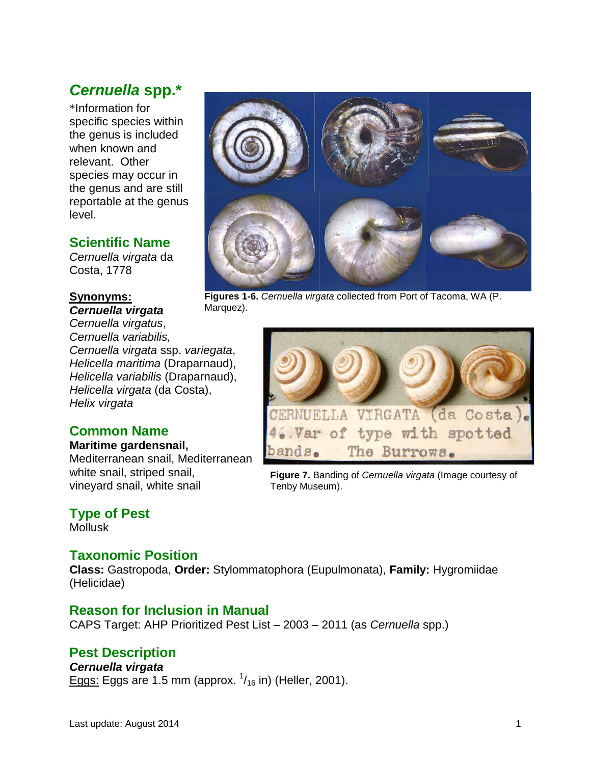# *Cernuella* **spp.\***

\*Information for specific species within the genus is included when known and relevant. Other species may occur in the genus and are still reportable at the genus level.

## **Scientific Name**

*Cernuella virgata* da Costa, 1778

#### **Synonyms:** *Cernuella virgata*

*Cernuella virgatus*, *Cernuella variabilis, Cernuella virgata* ssp. *variegata*, *Helicella maritima* (Draparnaud), *Helicella variabilis* (Draparnaud), *Helicella virgata* (da Costa), *Helix virgata*

## **Common Name**

#### **Maritime gardensnail,**

Mediterranean snail, Mediterranean white snail, striped snail, vineyard snail, white snail

## **Type of Pest**

Mollusk

## **Taxonomic Position**

**Class:** Gastropoda, **Order:** Stylommatophora (Eupulmonata), **Family:** Hygromiidae (Helicidae)

## **Reason for Inclusion in Manual**

CAPS Target: AHP Prioritized Pest List – 2003 – 2011 (as *Cernuella* spp.)

## **Pest Description**

#### *Cernuella virgata*

Eggs: Eggs are 1.5 mm (approx.  $\frac{1}{16}$  in) (Heller, 2001).



**Figures 1-6.** *Cernuella virgata* collected from Port of Tacoma, WA (P. Marquez).



**Figure 7.** Banding of *Cernuella virgata* (Image courtesy of Tenby Museum).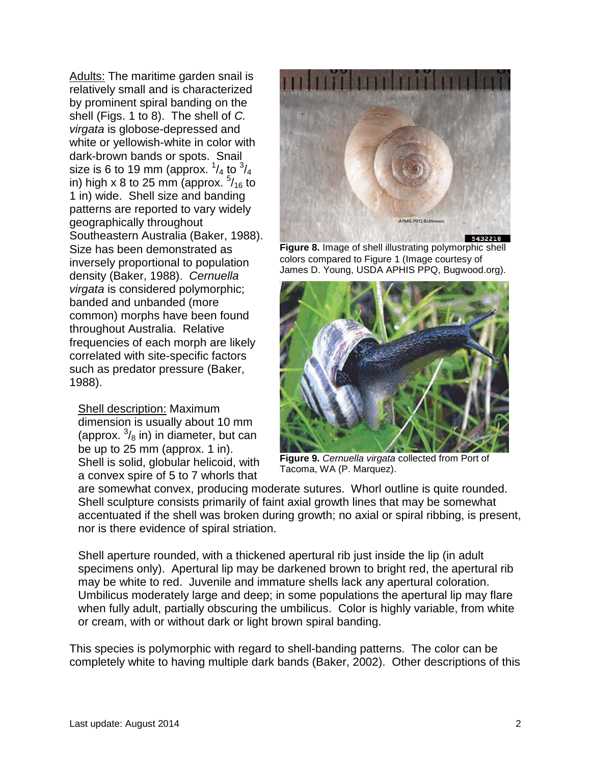Adults: The maritime garden snail is relatively small and is characterized by prominent spiral banding on the shell (Figs. 1 to 8). The shell of *C. virgata* is globose-depressed and white or yellowish-white in color with dark-brown bands or spots. Snail size is 6 to 19 mm (approx.  $^{1}\!/_{4}$  to  $^{3}\!/_{4}$ in) high x 8 to 25 mm (approx.  $\frac{5}{16}$  to 1 in) wide. Shell size and banding patterns are reported to vary widely geographically throughout Southeastern Australia (Baker, 1988). Size has been demonstrated as inversely proportional to population density (Baker, 1988). *Cernuella virgata* is considered polymorphic; banded and unbanded (more common) morphs have been found throughout Australia. Relative frequencies of each morph are likely correlated with site-specific factors such as predator pressure (Baker, 1988).

Shell description: Maximum dimension is usually about 10 mm (approx.  $\frac{3}{8}$  in) in diameter, but can be up to 25 mm (approx. 1 in). Shell is solid, globular helicoid, with a convex spire of 5 to 7 whorls that



**Figure 8.** Image of shell illustrating polymorphic shell colors compared to Figure 1 (Image courtesy of James D. Young, USDA APHIS PPQ, Bugwood.org).



**Figure 9.** *Cernuella virgata* collected from Port of Tacoma, WA (P. Marquez).

are somewhat convex, producing moderate sutures. Whorl outline is quite rounded. Shell sculpture consists primarily of faint axial growth lines that may be somewhat accentuated if the shell was broken during growth; no axial or spiral ribbing, is present, nor is there evidence of spiral striation.

Shell aperture rounded, with a thickened apertural rib just inside the lip (in adult specimens only). Apertural lip may be darkened brown to bright red, the apertural rib may be white to red. Juvenile and immature shells lack any apertural coloration. Umbilicus moderately large and deep; in some populations the apertural lip may flare when fully adult, partially obscuring the umbilicus. Color is highly variable, from white or cream, with or without dark or light brown spiral banding.

This species is polymorphic with regard to shell-banding patterns. The color can be completely white to having multiple dark bands (Baker, 2002). Other descriptions of this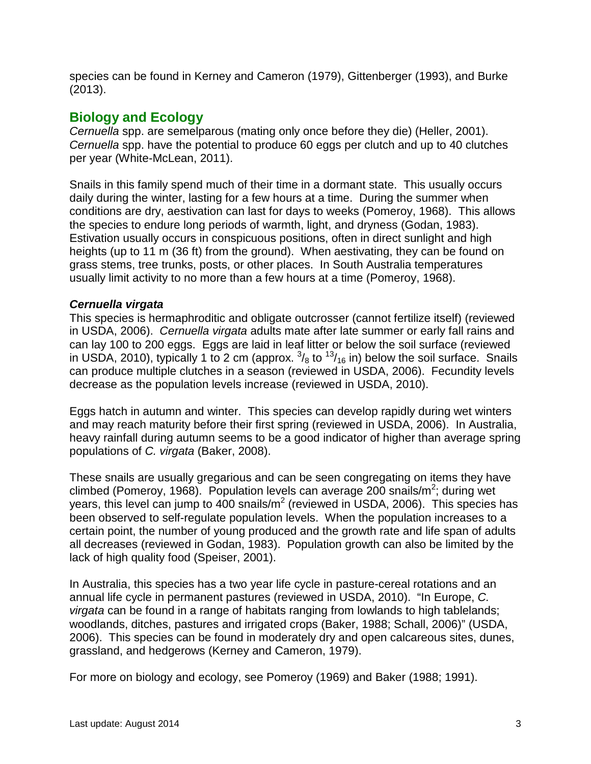species can be found in Kerney and Cameron (1979), Gittenberger (1993), and Burke (2013).

## **Biology and Ecology**

*Cernuella* spp. are semelparous (mating only once before they die) (Heller, 2001). *Cernuella* spp. have the potential to produce 60 eggs per clutch and up to 40 clutches per year (White-McLean, 2011).

Snails in this family spend much of their time in a dormant state. This usually occurs daily during the winter, lasting for a few hours at a time. During the summer when conditions are dry, aestivation can last for days to weeks (Pomeroy, 1968). This allows the species to endure long periods of warmth, light, and dryness (Godan, 1983). Estivation usually occurs in conspicuous positions, often in direct sunlight and high heights (up to 11 m (36 ft) from the ground). When aestivating, they can be found on grass stems, tree trunks, posts, or other places. In South Australia temperatures usually limit activity to no more than a few hours at a time (Pomeroy, 1968).

#### *Cernuella virgata*

This species is hermaphroditic and obligate outcrosser (cannot fertilize itself) (reviewed in USDA, 2006). *Cernuella virgata* adults mate after late summer or early fall rains and can lay 100 to 200 eggs. Eggs are laid in leaf litter or below the soil surface (reviewed in USDA, 2010), typically 1 to 2 cm (approx.  $\frac{3}{8}$  to  $\frac{13}{16}$  in) below the soil surface. Snails can produce multiple clutches in a season (reviewed in USDA, 2006). Fecundity levels decrease as the population levels increase (reviewed in USDA, 2010).

Eggs hatch in autumn and winter. This species can develop rapidly during wet winters and may reach maturity before their first spring (reviewed in USDA, 2006). In Australia, heavy rainfall during autumn seems to be a good indicator of higher than average spring populations of *C. virgata* (Baker, 2008).

These snails are usually gregarious and can be seen congregating on items they have climbed (Pomeroy, 1968). Population levels can average 200 snails/m<sup>2</sup>; during wet years, this level can jump to 400 snails/ $m^2$  (reviewed in USDA, 2006). This species has been observed to self-regulate population levels. When the population increases to a certain point, the number of young produced and the growth rate and life span of adults all decreases (reviewed in Godan, 1983). Population growth can also be limited by the lack of high quality food (Speiser, 2001).

In Australia, this species has a two year life cycle in pasture-cereal rotations and an annual life cycle in permanent pastures (reviewed in USDA, 2010). "In Europe, *C. virgata* can be found in a range of habitats ranging from lowlands to high tablelands; woodlands, ditches, pastures and irrigated crops (Baker, 1988; Schall, 2006)" (USDA, 2006). This species can be found in moderately dry and open calcareous sites, dunes, grassland, and hedgerows (Kerney and Cameron, 1979).

For more on biology and ecology, see Pomeroy (1969) and Baker (1988; 1991).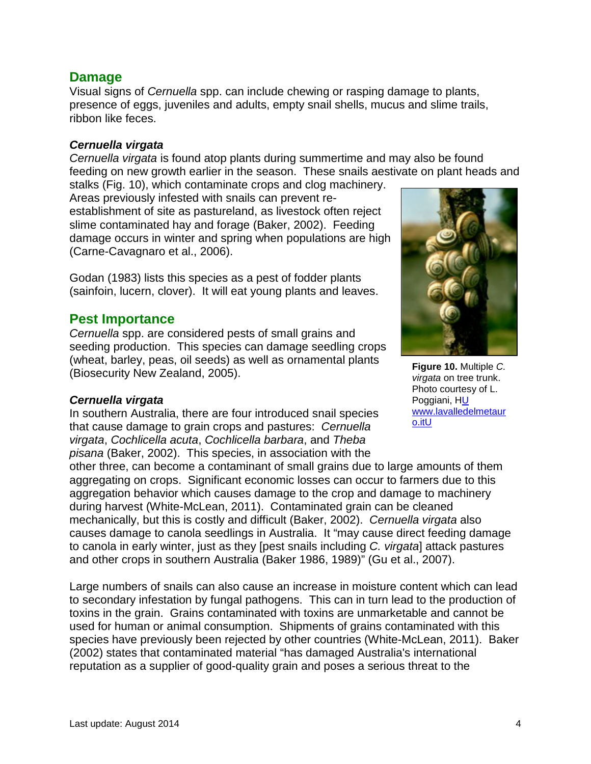### **Damage**

Visual signs of *Cernuella* spp. can include chewing or rasping damage to plants, presence of eggs, juveniles and adults, empty snail shells, mucus and slime trails, ribbon like feces.

#### *Cernuella virgata*

*Cernuella virgata* is found atop plants during summertime and may also be found feeding on new growth earlier in the season. These snails aestivate on plant heads and stalks (Fig. 10), which contaminate crops and clog machinery.

Areas previously infested with snails can prevent reestablishment of site as pastureland, as livestock often reject slime contaminated hay and forage (Baker, 2002). Feeding damage occurs in winter and spring when populations are high (Carne-Cavagnaro et al., 2006).

Godan (1983) lists this species as a pest of fodder plants (sainfoin, lucern, clover). It will eat young plants and leaves.

### **Pest Importance**

*Cernuella* spp. are considered pests of small grains and seeding production. This species can damage seedling crops (wheat, barley, peas, oil seeds) as well as ornamental plants (Biosecurity New Zealand, 2005).

#### *Cernuella virgata*

In southern Australia, there are four introduced snail species that cause damage to grain crops and pastures: *Cernuella virgata*, *Cochlicella acuta*, *Cochlicella barbara*, and *Theba pisana* (Baker, 2002). This species, in association with the

other three, can become a contaminant of small grains due to large amounts of them aggregating on crops. Significant economic losses can occur to farmers due to this aggregation behavior which causes damage to the crop and damage to machinery during harvest (White-McLean, 2011). Contaminated grain can be cleaned mechanically, but this is costly and difficult (Baker, 2002). *Cernuella virgata* also causes damage to canola seedlings in Australia. It "may cause direct feeding damage to canola in early winter, just as they [pest snails including *C. virgata*] attack pastures and other crops in southern Australia (Baker 1986, 1989)" (Gu et al., 2007).

Large numbers of snails can also cause an increase in moisture content which can lead to secondary infestation by fungal pathogens. This can in turn lead to the production of toxins in the grain. Grains contaminated with toxins are unmarketable and cannot be used for human or animal consumption. Shipments of grains contaminated with this species have previously been rejected by other countries (White-McLean, 2011). Baker (2002) states that contaminated material "has damaged Australia's international reputation as a supplier of good-quality grain and poses a serious threat to the



**Figure 10.** Multiple *C. virgata* on tree trunk. Photo courtesy of L. Poggiani, HU www.lavalledelmetaur o.itU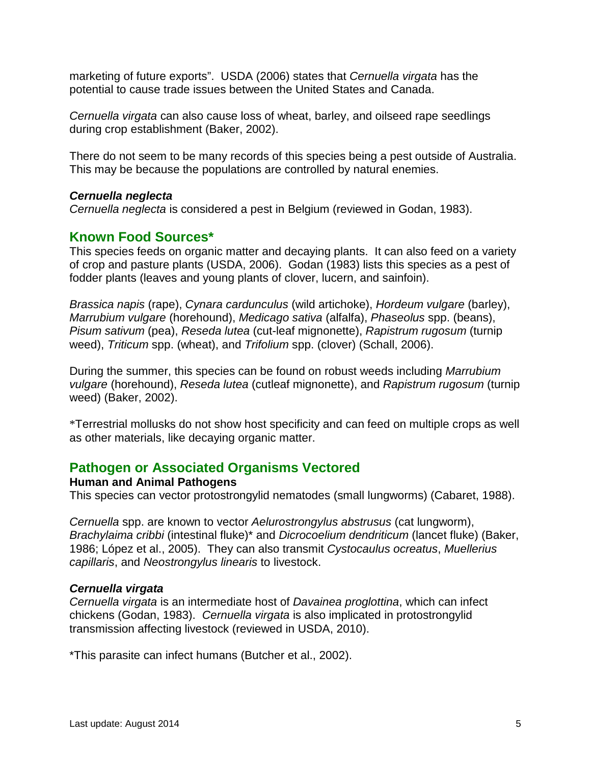marketing of future exports". USDA (2006) states that *Cernuella virgata* has the potential to cause trade issues between the United States and Canada.

*Cernuella virgata* can also cause loss of wheat, barley, and oilseed rape seedlings during crop establishment (Baker, 2002).

There do not seem to be many records of this species being a pest outside of Australia. This may be because the populations are controlled by natural enemies.

#### *Cernuella neglecta*

*Cernuella neglecta* is considered a pest in Belgium (reviewed in Godan, 1983).

### **Known Food Sources\***

This species feeds on organic matter and decaying plants. It can also feed on a variety of crop and pasture plants (USDA, 2006). Godan (1983) lists this species as a pest of fodder plants (leaves and young plants of clover, lucern, and sainfoin).

*Brassica napis* (rape), *Cynara cardunculus* (wild artichoke), *Hordeum vulgare* (barley), *Marrubium vulgare* (horehound), *Medicago sativa* (alfalfa), *Phaseolus* spp. (beans), *Pisum sativum* (pea), *Reseda lutea* (cut-leaf mignonette), *Rapistrum rugosum* (turnip weed), *Triticum* spp. (wheat), and *Trifolium* spp. (clover) (Schall, 2006).

During the summer, this species can be found on robust weeds including *Marrubium vulgare* (horehound), *Reseda lutea* (cutleaf mignonette), and *Rapistrum rugosum* (turnip weed) (Baker, 2002).

\*Terrestrial mollusks do not show host specificity and can feed on multiple crops as well as other materials, like decaying organic matter.

### **Pathogen or Associated Organisms Vectored**

#### **Human and Animal Pathogens**

This species can vector protostrongylid nematodes (small lungworms) (Cabaret, 1988).

*Cernuella* spp. are known to vector *Aelurostrongylus abstrusus* (cat lungworm), *Brachylaima cribbi* (intestinal fluke)\* and *Dicrocoelium dendriticum* (lancet fluke) (Baker, 1986; López et al., 2005). They can also transmit *Cystocaulus ocreatus*, *Muellerius capillaris*, and *Neostrongylus linearis* to livestock.

#### *Cernuella virgata*

*Cernuella virgata* is an intermediate host of *Davainea proglottina*, which can infect chickens (Godan, 1983). *Cernuella virgata* is also implicated in protostrongylid transmission affecting livestock (reviewed in USDA, 2010).

\*This parasite can infect humans (Butcher et al., 2002).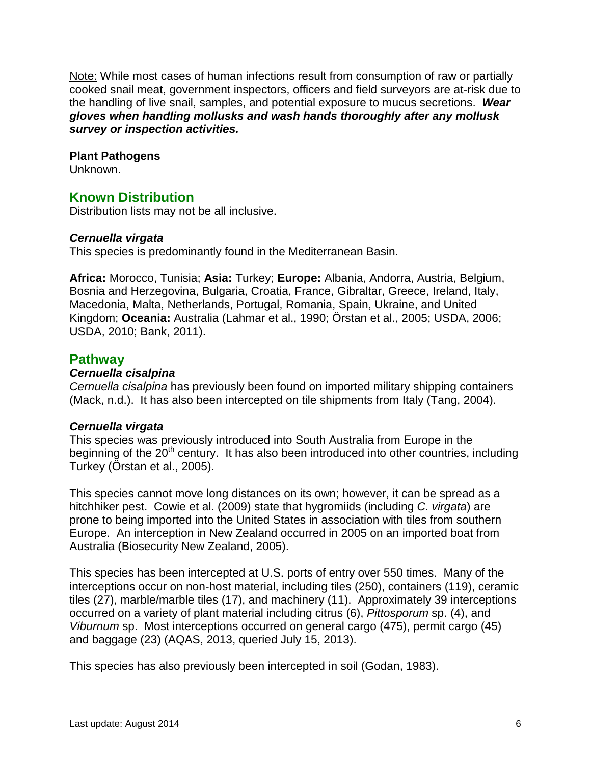Note: While most cases of human infections result from consumption of raw or partially cooked snail meat, government inspectors, officers and field surveyors are at-risk due to the handling of live snail, samples, and potential exposure to mucus secretions. *Wear gloves when handling mollusks and wash hands thoroughly after any mollusk survey or inspection activities.*

#### **Plant Pathogens**

Unknown.

## **Known Distribution**

Distribution lists may not be all inclusive.

#### *Cernuella virgata*

This species is predominantly found in the Mediterranean Basin.

**Africa:** Morocco, Tunisia; **Asia:** Turkey; **Europe:** Albania, Andorra, Austria, Belgium, Bosnia and Herzegovina, Bulgaria, Croatia, France, Gibraltar, Greece, Ireland, Italy, Macedonia, Malta, Netherlands, Portugal, Romania, Spain, Ukraine, and United Kingdom; **Oceania:** Australia (Lahmar et al., 1990; Örstan et al., 2005; USDA, 2006; USDA, 2010; Bank, 2011).

### **Pathway**

#### *Cernuella cisalpina*

*Cernuella cisalpina* has previously been found on imported military shipping containers (Mack, n.d.). It has also been intercepted on tile shipments from Italy (Tang, 2004).

#### *Cernuella virgata*

This species was previously introduced into South Australia from Europe in the beginning of the  $20<sup>th</sup>$  century. It has also been introduced into other countries, including Turkey (Örstan et al., 2005).

This species cannot move long distances on its own; however, it can be spread as a hitchhiker pest. Cowie et al. (2009) state that hygromiids (including *C. virgata*) are prone to being imported into the United States in association with tiles from southern Europe. An interception in New Zealand occurred in 2005 on an imported boat from Australia (Biosecurity New Zealand, 2005).

This species has been intercepted at U.S. ports of entry over 550 times. Many of the interceptions occur on non-host material, including tiles (250), containers (119), ceramic tiles (27), marble/marble tiles (17), and machinery (11). Approximately 39 interceptions occurred on a variety of plant material including citrus (6), *Pittosporum* sp. (4), and *Viburnum* sp. Most interceptions occurred on general cargo (475), permit cargo (45) and baggage (23) (AQAS, 2013, queried July 15, 2013).

This species has also previously been intercepted in soil (Godan, 1983).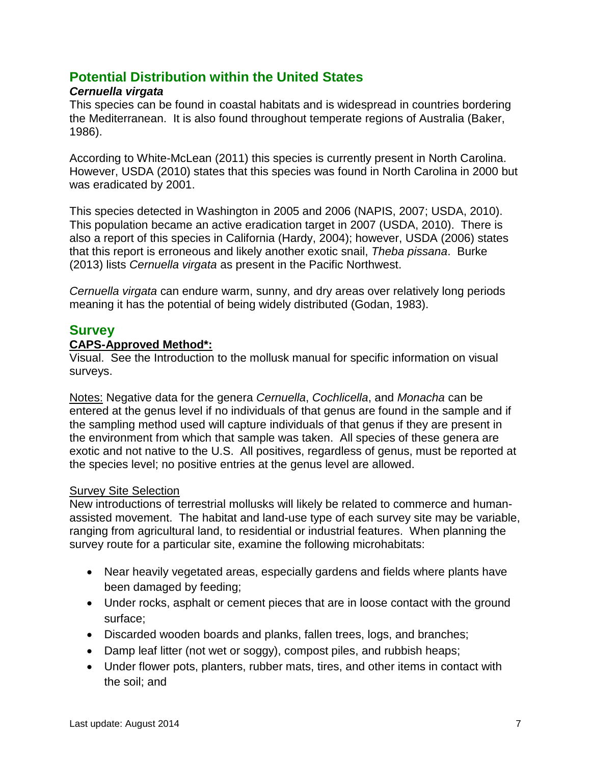## **Potential Distribution within the United States**

### *Cernuella virgata*

This species can be found in coastal habitats and is widespread in countries bordering the Mediterranean. It is also found throughout temperate regions of Australia (Baker, 1986).

According to White-McLean (2011) this species is currently present in North Carolina. However, USDA (2010) states that this species was found in North Carolina in 2000 but was eradicated by 2001.

This species detected in Washington in 2005 and 2006 (NAPIS, 2007; USDA, 2010). This population became an active eradication target in 2007 (USDA, 2010). There is also a report of this species in California (Hardy, 2004); however, USDA (2006) states that this report is erroneous and likely another exotic snail, *Theba pissana*. Burke (2013) lists *Cernuella virgata* as present in the Pacific Northwest.

*Cernuella virgata* can endure warm, sunny, and dry areas over relatively long periods meaning it has the potential of being widely distributed (Godan, 1983).

### **Survey**

#### **CAPS-Approved Method\*:**

Visual. See the Introduction to the mollusk manual for specific information on visual surveys.

Notes: Negative data for the genera *Cernuella*, *Cochlicella*, and *Monacha* can be entered at the genus level if no individuals of that genus are found in the sample and if the sampling method used will capture individuals of that genus if they are present in the environment from which that sample was taken. All species of these genera are exotic and not native to the U.S. All positives, regardless of genus, must be reported at the species level; no positive entries at the genus level are allowed.

#### Survey Site Selection

New introductions of terrestrial mollusks will likely be related to commerce and humanassisted movement. The habitat and land-use type of each survey site may be variable, ranging from agricultural land, to residential or industrial features. When planning the survey route for a particular site, examine the following microhabitats:

- Near heavily vegetated areas, especially gardens and fields where plants have been damaged by feeding;
- Under rocks, asphalt or cement pieces that are in loose contact with the ground surface;
- Discarded wooden boards and planks, fallen trees, logs, and branches;
- Damp leaf litter (not wet or soggy), compost piles, and rubbish heaps;
- Under flower pots, planters, rubber mats, tires, and other items in contact with the soil; and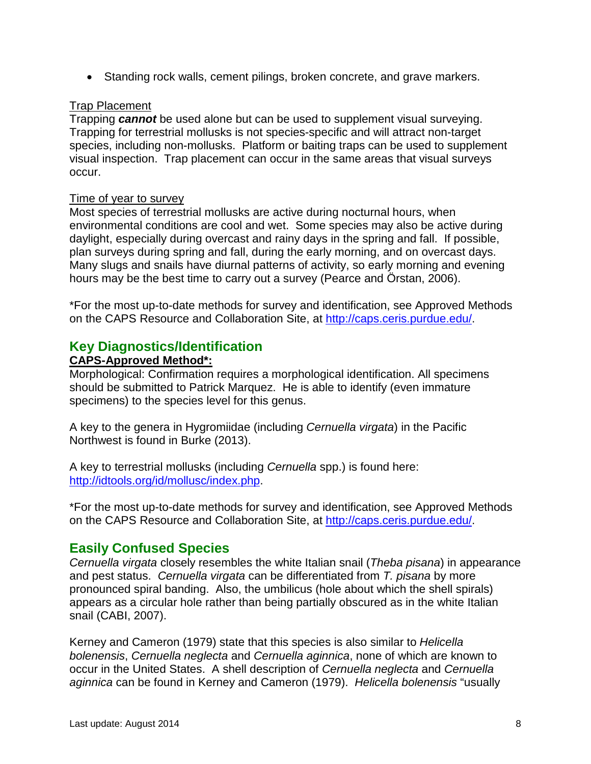• Standing rock walls, cement pilings, broken concrete, and grave markers.

### Trap Placement

Trapping *cannot* be used alone but can be used to supplement visual surveying. Trapping for terrestrial mollusks is not species-specific and will attract non-target species, including non-mollusks. Platform or baiting traps can be used to supplement visual inspection. Trap placement can occur in the same areas that visual surveys occur.

#### Time of year to survey

Most species of terrestrial mollusks are active during nocturnal hours, when environmental conditions are cool and wet. Some species may also be active during daylight, especially during overcast and rainy days in the spring and fall. If possible, plan surveys during spring and fall, during the early morning, and on overcast days. Many slugs and snails have diurnal patterns of activity, so early morning and evening hours may be the best time to carry out a survey (Pearce and Örstan, 2006).

\*For the most up-to-date methods for survey and identification, see Approved Methods on the CAPS Resource and Collaboration Site, at http://caps.ceris.purdue.edu/.

## **Key Diagnostics/Identification**

### **CAPS-Approved Method\*:**

Morphological: Confirmation requires a morphological identification. All specimens should be submitted to Patrick Marquez. He is able to identify (even immature specimens) to the species level for this genus.

A key to the genera in Hygromiidae (including *Cernuella virgata*) in the Pacific Northwest is found in Burke (2013).

A key to terrestrial mollusks (including *Cernuella* spp.) is found here: [http://idtools.org/id/mollusc/index.php.](http://idtools.org/id/mollusc/index.php)

\*For the most up-to-date methods for survey and identification, see Approved Methods on the CAPS Resource and Collaboration Site, at http://caps.ceris.purdue.edu/.

## **Easily Confused Species**

*Cernuella virgata* closely resembles the white Italian snail (*Theba pisana*) in appearance and pest status. *Cernuella virgata* can be differentiated from *T. pisana* by more pronounced spiral banding. Also, the umbilicus (hole about which the shell spirals) appears as a circular hole rather than being partially obscured as in the white Italian snail (CABI, 2007).

Kerney and Cameron (1979) state that this species is also similar to *Helicella bolenensis*, *Cernuella neglecta* and *Cernuella aginnica*, none of which are known to occur in the United States. A shell description of *Cernuella neglecta* and *Cernuella aginnica* can be found in Kerney and Cameron (1979). *Helicella bolenensis* "usually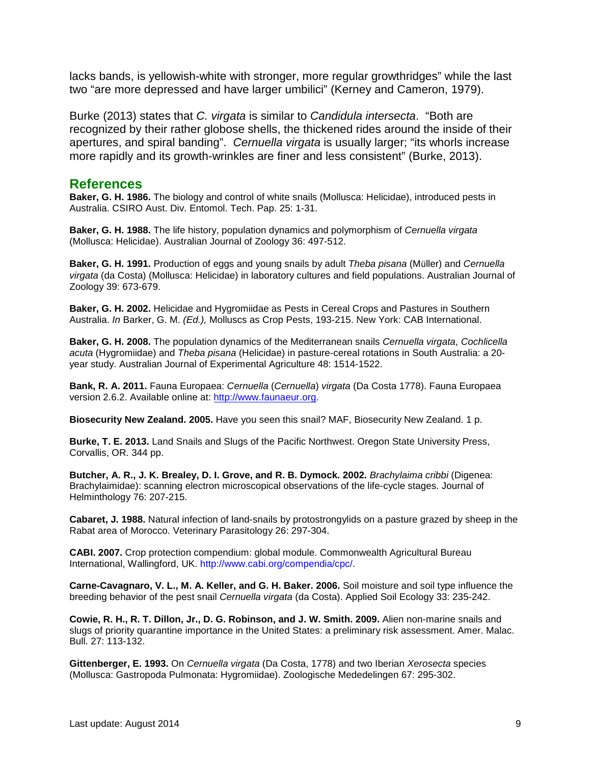lacks bands, is yellowish-white with stronger, more regular growthridges" while the last two "are more depressed and have larger umbilici" (Kerney and Cameron, 1979).

Burke (2013) states that *C. virgata* is similar to *Candidula intersecta*. "Both are recognized by their rather globose shells, the thickened rides around the inside of their apertures, and spiral banding". *Cernuella virgata* is usually larger; "its whorls increase more rapidly and its growth-wrinkles are finer and less consistent" (Burke, 2013).

#### **References**

**Baker, G. H. 1986.** The biology and control of white snails (Mollusca: Helicidae), introduced pests in Australia. CSIRO Aust. Div. Entomol. Tech. Pap. 25: 1-31.

**Baker, G. H. 1988.** The life history, population dynamics and polymorphism of *Cernuella virgata* (Mollusca: Helicidae). Australian Journal of Zoology 36: 497-512.

**Baker, G. H. 1991.** Production of eggs and young snails by adult *Theba pisana* (Müller) and *Cernuella virgata* (da Costa) (Mollusca: Helicidae) in laboratory cultures and field populations. Australian Journal of Zoology 39: 673-679.

**Baker, G. H. 2002.** Helicidae and Hygromiidae as Pests in Cereal Crops and Pastures in Southern Australia. *In* Barker, G. M. *(Ed.),* Molluscs as Crop Pests, 193-215. New York: CAB International.

**Baker, G. H. 2008.** The population dynamics of the Mediterranean snails *Cernuella virgata*, *Cochlicella acuta* (Hygromiidae) and *Theba pisana* (Helicidae) in pasture-cereal rotations in South Australia: a 20 year study. Australian Journal of Experimental Agriculture 48: 1514-1522.

**Bank, R. A. 2011.** Fauna Europaea: *Cernuella* (*Cernuella*) *virgata* (Da Costa 1778). Fauna Europaea version 2.6.2. Available online at: [http://www.faunaeur.org.](http://www.faunaeur.org/)

**Biosecurity New Zealand. 2005.** Have you seen this snail? MAF, Biosecurity New Zealand. 1 p.

**Burke, T. E. 2013.** Land Snails and Slugs of the Pacific Northwest. Oregon State University Press, Corvallis, OR. 344 pp.

**Butcher, A. R., J. K. Brealey, D. I. Grove, and R. B. Dymock. 2002.** *Brachylaima cribbi* (Digenea: Brachylaimidae): scanning electron microscopical observations of the life-cycle stages. Journal of Helminthology 76: 207-215.

**Cabaret, J. 1988.** Natural infection of land-snails by protostrongylids on a pasture grazed by sheep in the Rabat area of Morocco. Veterinary Parasitology 26: 297-304.

**CABI. 2007.** Crop protection compendium: global module. Commonwealth Agricultural Bureau International, Wallingford, UK. http://www.cabi.org/compendia/cpc/.

**Carne-Cavagnaro, V. L., M. A. Keller, and G. H. Baker. 2006.** Soil moisture and soil type influence the breeding behavior of the pest snail *Cernuella virgata* (da Costa). Applied Soil Ecology 33: 235-242.

**Cowie, R. H., R. T. Dillon, Jr., D. G. Robinson, and J. W. Smith. 2009.** Alien non-marine snails and slugs of priority quarantine importance in the United States: a preliminary risk assessment. Amer. Malac. Bull. 27: 113-132.

**Gittenberger, E. 1993.** On *Cernuella virgata* (Da Costa, 1778) and two Iberian *Xerosecta* species (Mollusca: Gastropoda Pulmonata: Hygromiidae). Zoologische Mededelingen 67: 295-302.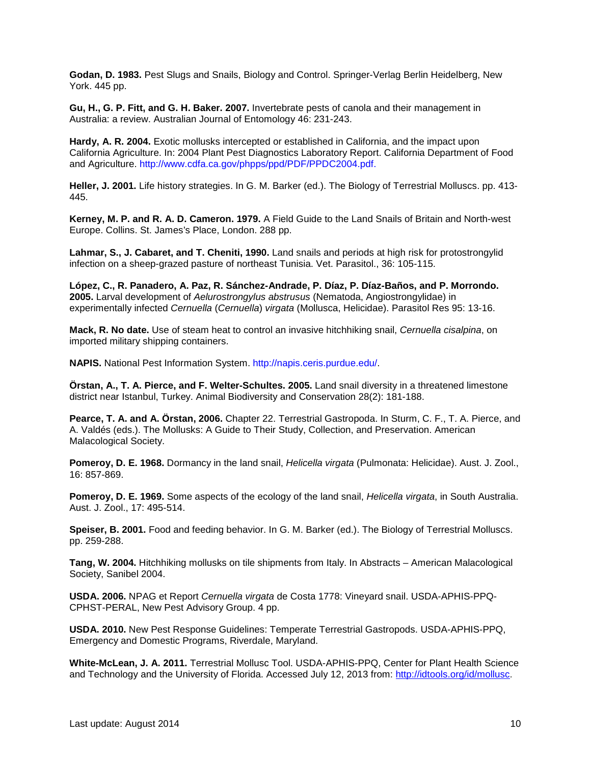**Godan, D. 1983.** Pest Slugs and Snails, Biology and Control. Springer-Verlag Berlin Heidelberg, New York. 445 pp.

**Gu, H., G. P. Fitt, and G. H. Baker. 2007.** Invertebrate pests of canola and their management in Australia: a review. Australian Journal of Entomology 46: 231-243.

**Hardy, A. R. 2004.** Exotic mollusks intercepted or established in California, and the impact upon California Agriculture. In: 2004 Plant Pest Diagnostics Laboratory Report. California Department of Food and Agriculture. http://www.cdfa.ca.gov/phpps/ppd/PDF/PPDC2004.pdf.

**Heller, J. 2001.** Life history strategies. In G. M. Barker (ed.). The Biology of Terrestrial Molluscs. pp. 413- 445.

**Kerney, M. P. and R. A. D. Cameron. 1979.** A Field Guide to the Land Snails of Britain and North-west Europe. Collins. St. James's Place, London. 288 pp.

**Lahmar, S., J. Cabaret, and T. Cheniti, 1990.** Land snails and periods at high risk for protostrongylid infection on a sheep-grazed pasture of northeast Tunisia. Vet. Parasitol., 36: 105-115.

**López, C., R. Panadero, A. Paz, R. Sánchez-Andrade, P. Díaz, P. Díaz-Baños, and P. Morrondo. 2005.** Larval development of *Aelurostrongylus abstrusus* (Nematoda, Angiostrongylidae) in experimentally infected *Cernuella* (*Cernuella*) *virgata* (Mollusca, Helicidae). Parasitol Res 95: 13-16.

**Mack, R. No date.** Use of steam heat to control an invasive hitchhiking snail, *Cernuella cisalpina*, on imported military shipping containers.

**NAPIS.** National Pest Information System. http://napis.ceris.purdue.edu/.

**Örstan, A., T. A. Pierce, and F. Welter-Schultes. 2005.** Land snail diversity in a threatened limestone district near Istanbul, Turkey. Animal Biodiversity and Conservation 28(2): 181-188.

**Pearce, T. A. and A. Örstan, 2006.** Chapter 22. Terrestrial Gastropoda. In Sturm, C. F., T. A. Pierce, and A. Valdés (eds.). The Mollusks: A Guide to Their Study, Collection, and Preservation. American Malacological Society.

**Pomeroy, D. E. 1968.** Dormancy in the land snail, *Helicella virgata* (Pulmonata: Helicidae). Aust. J. Zool., 16: 857-869.

**Pomeroy, D. E. 1969.** Some aspects of the ecology of the land snail, *Helicella virgata*, in South Australia. Aust. J. Zool., 17: 495-514.

**Speiser, B. 2001.** Food and feeding behavior. In G. M. Barker (ed.). The Biology of Terrestrial Molluscs. pp. 259-288.

**Tang, W. 2004.** Hitchhiking mollusks on tile shipments from Italy. In Abstracts – American Malacological Society, Sanibel 2004.

**USDA. 2006.** NPAG et Report *Cernuella virgata* de Costa 1778: Vineyard snail. USDA-APHIS-PPQ-CPHST-PERAL, New Pest Advisory Group. 4 pp.

**USDA. 2010.** New Pest Response Guidelines: Temperate Terrestrial Gastropods. USDA-APHIS-PPQ, Emergency and Domestic Programs, Riverdale, Maryland.

**White-McLean, J. A. 2011.** Terrestrial Mollusc Tool. USDA-APHIS-PPQ, Center for Plant Health Science and Technology and the University of Florida. Accessed July 12, 2013 from: [http://idtools.org/id/mollusc.](http://idtools.org/id/mollusc)